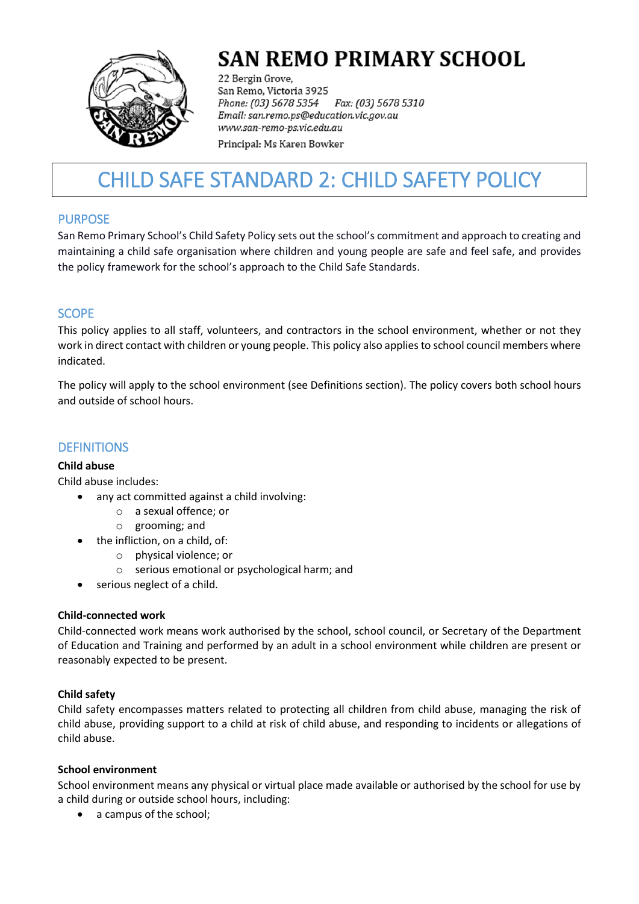

# **SAN REMO PRIMARY SCHOOL**

22 Bergin Grove, San Remo, Victoria 3925 Phone: (03) 5678 5354 Fax: (03) 5678 5310 Email: san.remo.ps@education.vic.gov.au www.san-remo-ps.vic.edu.au

Principal: Ms Karen Bowker

# CHILD SAFE STANDARD 2: CHILD SAFETY POLICY

# PURPOSE

San Remo Primary School's Child Safety Policy sets out the school's commitment and approach to creating and maintaining a child safe organisation where children and young people are safe and feel safe, and provides the policy framework for the school's approach to the Child Safe Standards.

# **SCOPE**

This policy applies to all staff, volunteers, and contractors in the school environment, whether or not they work in direct contact with children or young people. This policy also applies to school council members where indicated.

The policy will apply to the school environment (see Definitions section). The policy covers both school hours and outside of school hours.

# **DEFINITIONS**

# **Child abuse**

Child abuse includes:

- any act committed against a child involving:
	- o a sexual offence; or
	- o grooming; and
- the infliction, on a child, of:
	- o physical violence; or
	- o serious emotional or psychological harm; and
- serious neglect of a child.

# **Child-connected work**

Child-connected work means work authorised by the school, school council, or Secretary of the Department of Education and Training and performed by an adult in a school environment while children are present or reasonably expected to be present.

# **Child safety**

Child safety encompasses matters related to protecting all children from child abuse, managing the risk of child abuse, providing support to a child at risk of child abuse, and responding to incidents or allegations of child abuse.

#### **School environment**

School environment means any physical or virtual place made available or authorised by the school for use by a child during or outside school hours, including:

a campus of the school;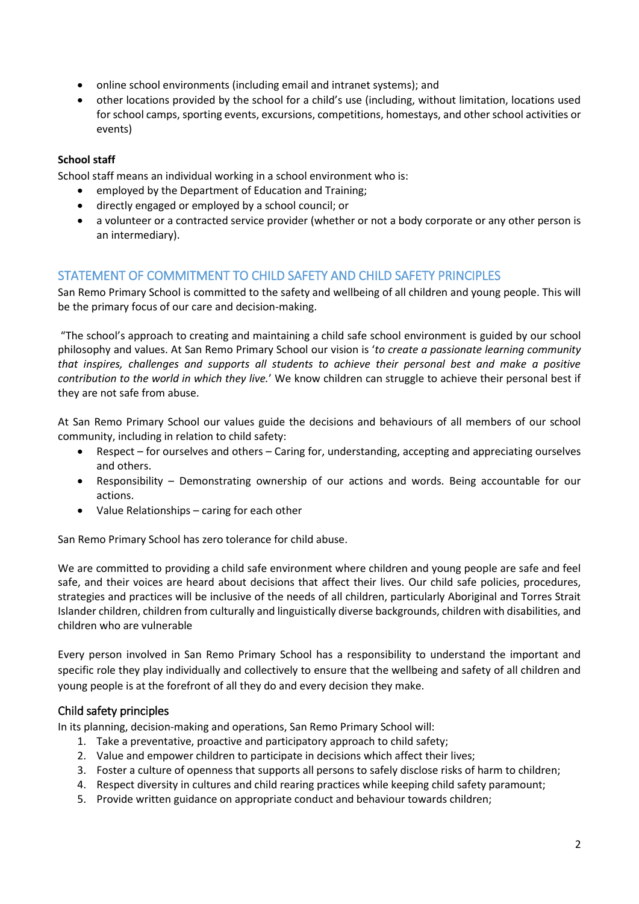- online school environments (including email and intranet systems); and
- other locations provided by the school for a child's use (including, without limitation, locations used for school camps, sporting events, excursions, competitions, homestays, and other school activities or events)

#### **School staff**

School staff means an individual working in a school environment who is:

- employed by the Department of Education and Training;
- directly engaged or employed by a school council; or
- a volunteer or a contracted service provider (whether or not a body corporate or any other person is an intermediary).

# STATEMENT OF COMMITMENT TO CHILD SAFETY AND CHILD SAFETY PRINCIPLES

San Remo Primary School is committed to the safety and wellbeing of all children and young people. This will be the primary focus of our care and decision-making.

"The school's approach to creating and maintaining a child safe school environment is guided by our school philosophy and values. At San Remo Primary School our vision is '*to create a passionate learning community that inspires, challenges and supports all students to achieve their personal best and make a positive contribution to the world in which they live.*' We know children can struggle to achieve their personal best if they are not safe from abuse.

At San Remo Primary School our values guide the decisions and behaviours of all members of our school community, including in relation to child safety:

- Respect for ourselves and others Caring for, understanding, accepting and appreciating ourselves and others.
- Responsibility Demonstrating ownership of our actions and words. Being accountable for our actions.
- Value Relationships caring for each other

San Remo Primary School has zero tolerance for child abuse.

We are committed to providing a child safe environment where children and young people are safe and feel safe, and their voices are heard about decisions that affect their lives. Our child safe policies, procedures, strategies and practices will be inclusive of the needs of all children, particularly Aboriginal and Torres Strait Islander children, children from culturally and linguistically diverse backgrounds, children with disabilities, and children who are vulnerable

Every person involved in San Remo Primary School has a responsibility to understand the important and specific role they play individually and collectively to ensure that the wellbeing and safety of all children and young people is at the forefront of all they do and every decision they make.

# Child safety principles

In its planning, decision-making and operations, San Remo Primary School will:

- 1. Take a preventative, proactive and participatory approach to child safety;
- 2. Value and empower children to participate in decisions which affect their lives;
- 3. Foster a culture of openness that supports all persons to safely disclose risks of harm to children;
- 4. Respect diversity in cultures and child rearing practices while keeping child safety paramount;
- 5. Provide written guidance on appropriate conduct and behaviour towards children;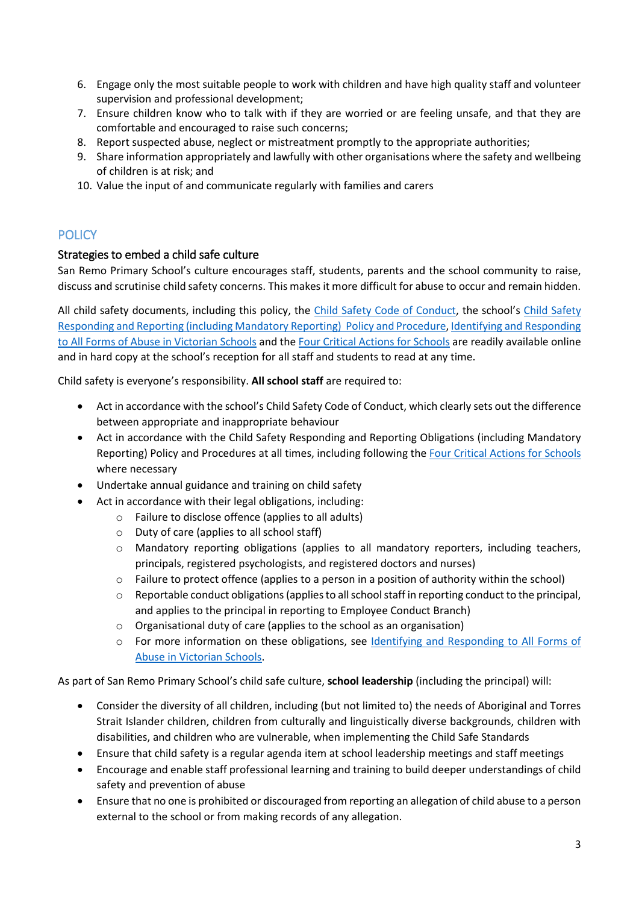- 6. Engage only the most suitable people to work with children and have high quality staff and volunteer supervision and professional development;
- 7. Ensure children know who to talk with if they are worried or are feeling unsafe, and that they are comfortable and encouraged to raise such concerns;
- 8. Report suspected abuse, neglect or mistreatment promptly to the appropriate authorities;
- 9. Share information appropriately and lawfully with other organisations where the safety and wellbeing of children is at risk; and
- 10. Value the input of and communicate regularly with families and carers

# **POLICY**

#### Strategies to embed a child safe culture

San Remo Primary School's culture encourages staff, students, parents and the school community to raise, discuss and scrutinise child safety concerns. This makes it more difficult for abuse to occur and remain hidden.

All child safety documents, including this policy, the [Child Safety Code of Conduct](SRPS%20Standard%203%20Code%20of%20Conduct%20%202020.pdf), the school's [Child Safety](SRPS%20Child%20Safety%20Responding%20and%20Reporting%20Obligations%20Policy%20and%20Procedures%20-%202020.pdf) Responding and Reporting [\(including Mandatory Reporting\)](SRPS%20Child%20Safety%20Responding%20and%20Reporting%20Obligations%20Policy%20and%20Procedures%20-%202020.pdf) Policy and Procedure[, Identifying and Responding](https://www.education.vic.gov.au/Documents/about/programs/health/protect/ChildSafeStandard5_SchoolsGuide.pdf)  [to All Forms of Abuse in Victorian Schools](https://www.education.vic.gov.au/Documents/about/programs/health/protect/ChildSafeStandard5_SchoolsGuide.pdf) and the [Four Critical Actions for Schools](https://www.education.vic.gov.au/Documents/about/programs/health/protect/FourCriticalActions_ChildAbuse.pdf) are readily available online and in hard copy at the school's reception for all staff and students to read at any time.

Child safety is everyone's responsibility. **All school staff** are required to:

- Act in accordance with the school's Child Safety Code of Conduct, which clearly sets out the difference between appropriate and inappropriate behaviour
- Act in accordance with the Child Safety Responding and Reporting Obligations (including Mandatory Reporting) Policy and Procedures at all times, including following the [Four Critical Actions for Schools](https://www.education.vic.gov.au/Documents/about/programs/health/protect/FourCriticalActions_ChildAbuse.pdf) where necessary
- Undertake annual guidance and training on child safety
- Act in accordance with their legal obligations, including:
	- o Failure to disclose offence (applies to all adults)
	- o Duty of care (applies to all school staff)
	- o Mandatory reporting obligations (applies to all mandatory reporters, including teachers, principals, registered psychologists, and registered doctors and nurses)
	- o Failure to protect offence (applies to a person in a position of authority within the school)
	- $\circ$  Reportable conduct obligations (applies to all school staff in reporting conduct to the principal, and applies to the principal in reporting to Employee Conduct Branch)
	- o Organisational duty of care (applies to the school as an organisation)
	- o For more information on these obligations, see [Identifying and Responding to All Forms of](https://www.education.vic.gov.au/Documents/about/programs/health/protect/ChildSafeStandard5_SchoolsGuide.pdf)  [Abuse in Victorian Schools.](https://www.education.vic.gov.au/Documents/about/programs/health/protect/ChildSafeStandard5_SchoolsGuide.pdf)

As part of San Remo Primary School's child safe culture, **school leadership** (including the principal) will:

- Consider the diversity of all children, including (but not limited to) the needs of Aboriginal and Torres Strait Islander children, children from culturally and linguistically diverse backgrounds, children with disabilities, and children who are vulnerable, when implementing the Child Safe Standards
- Ensure that child safety is a regular agenda item at school leadership meetings and staff meetings
- Encourage and enable staff professional learning and training to build deeper understandings of child safety and prevention of abuse
- Ensure that no one is prohibited or discouraged from reporting an allegation of child abuse to a person external to the school or from making records of any allegation.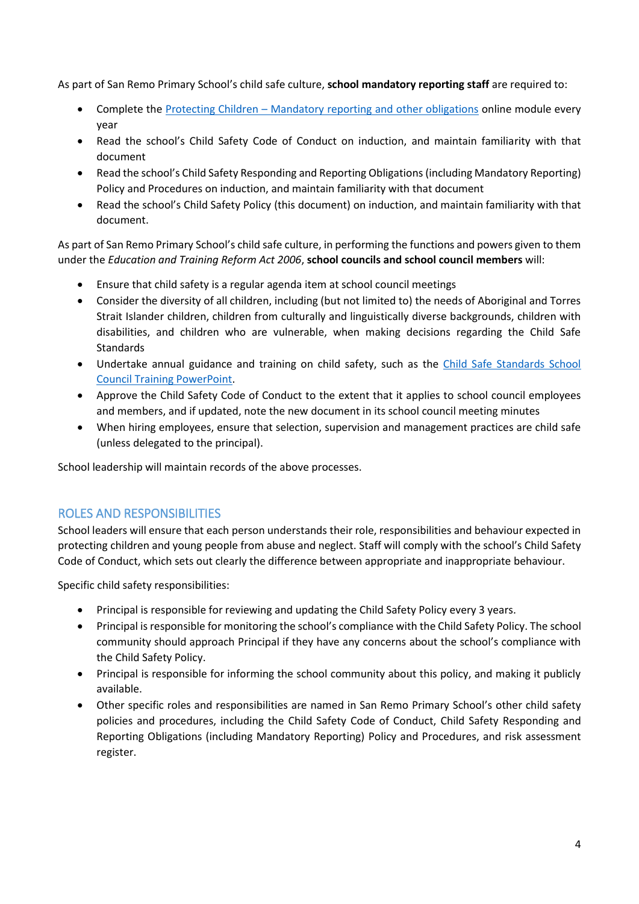As part of San Remo Primary School's child safe culture, **school mandatory reporting staff** are required to:

- Complete the Protecting Children [Mandatory reporting and other obligations](http://elearn.com.au/det/protectingchildren/) online module every year
- Read the school's Child Safety Code of Conduct on induction, and maintain familiarity with that document
- Read the school's Child Safety Responding and Reporting Obligations(including Mandatory Reporting) Policy and Procedures on induction, and maintain familiarity with that document
- Read the school's Child Safety Policy (this document) on induction, and maintain familiarity with that document.

As part of San Remo Primary School's child safe culture, in performing the functions and powers given to them under the *Education and Training Reform Act 2006*, **school councils and school council members** will:

- Ensure that child safety is a regular agenda item at school council meetings
- Consider the diversity of all children, including (but not limited to) the needs of Aboriginal and Torres Strait Islander children, children from culturally and linguistically diverse backgrounds, children with disabilities, and children who are vulnerable, when making decisions regarding the Child Safe **Standards**
- Undertake annual guidance and training on child safety, such as the [Child Safe Standards School](https://www.education.vic.gov.au/Documents/about/programs/health/protect/school-council-training.pptx)  [Council Training](https://www.education.vic.gov.au/Documents/about/programs/health/protect/school-council-training.pptx) PowerPoint.
- Approve the Child Safety Code of Conduct to the extent that it applies to school council employees and members, and if updated, note the new document in its school council meeting minutes
- When hiring employees, ensure that selection, supervision and management practices are child safe (unless delegated to the principal).

School leadership will maintain records of the above processes.

# ROLES AND RESPONSIBILITIES

School leaders will ensure that each person understands their role, responsibilities and behaviour expected in protecting children and young people from abuse and neglect. Staff will comply with the school's Child Safety Code of Conduct, which sets out clearly the difference between appropriate and inappropriate behaviour.

Specific child safety responsibilities:

- Principal is responsible for reviewing and updating the Child Safety Policy every 3 years.
- Principal is responsible for monitoring the school's compliance with the Child Safety Policy. The school community should approach Principal if they have any concerns about the school's compliance with the Child Safety Policy.
- Principal is responsible for informing the school community about this policy, and making it publicly available.
- Other specific roles and responsibilities are named in San Remo Primary School's other child safety policies and procedures, including the Child Safety Code of Conduct, Child Safety Responding and Reporting Obligations (including Mandatory Reporting) Policy and Procedures, and risk assessment register.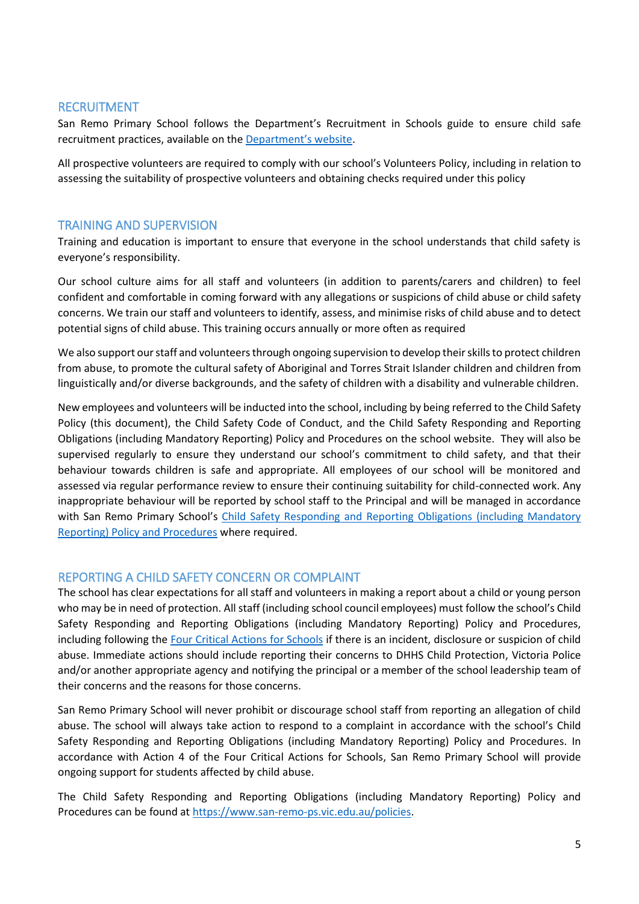#### RECRUITMENT

San Remo Primary School follows the Department's Recruitment in Schools guide to ensure child safe recruitment practices, available on the [Department'](https://www.education.vic.gov.au/hrweb/careers/Pages/recruitinsch.aspx)s website.

All prospective volunteers are required to comply with our school's Volunteers Policy, including in relation to assessing the suitability of prospective volunteers and obtaining checks required under this policy

### TRAINING AND SUPERVISION

Training and education is important to ensure that everyone in the school understands that child safety is everyone's responsibility.

Our school culture aims for all staff and volunteers (in addition to parents/carers and children) to feel confident and comfortable in coming forward with any allegations or suspicions of child abuse or child safety concerns. We train our staff and volunteers to identify, assess, and minimise risks of child abuse and to detect potential signs of child abuse. This training occurs annually or more often as required

We also support our staff and volunteers through ongoing supervision to develop their skills to protect children from abuse, to promote the cultural safety of Aboriginal and Torres Strait Islander children and children from linguistically and/or diverse backgrounds, and the safety of children with a disability and vulnerable children.

New employees and volunteers will be inducted into the school, including by being referred to the Child Safety Policy (this document), the Child Safety Code of Conduct, and the Child Safety Responding and Reporting Obligations (including Mandatory Reporting) Policy and Procedures on the school website. They will also be supervised regularly to ensure they understand our school's commitment to child safety, and that their behaviour towards children is safe and appropriate. All employees of our school will be monitored and assessed via regular performance review to ensure their continuing suitability for child-connected work. Any inappropriate behaviour will be reported by school staff to the Principal and will be managed in accordance with San Remo Primary School's [Child Safety Responding and Reporting](SRPS%20Child%20Safety%20Responding%20and%20Reporting%20Obligations%20Policy%20and%20Procedures%20-%202020.pdf) Obligations (including Mandatory [Reporting\) Policy and Procedures](SRPS%20Child%20Safety%20Responding%20and%20Reporting%20Obligations%20Policy%20and%20Procedures%20-%202020.pdf) where required.

# REPORTING A CHILD SAFETY CONCERN OR COMPLAINT

The school has clear expectations for all staff and volunteers in making a report about a child or young person who may be in need of protection. All staff (including school council employees) must follow the school's Child Safety Responding and Reporting Obligations (including Mandatory Reporting) Policy and Procedures, including following the [Four Critical Actions for Schools](https://www.education.vic.gov.au/Documents/about/programs/health/protect/FourCriticalActions_ChildAbuse.pdf) if there is an incident, disclosure or suspicion of child abuse. Immediate actions should include reporting their concerns to DHHS Child Protection, Victoria Police and/or another appropriate agency and notifying the principal or a member of the school leadership team of their concerns and the reasons for those concerns.

San Remo Primary School will never prohibit or discourage school staff from reporting an allegation of child abuse. The school will always take action to respond to a complaint in accordance with the school's Child Safety Responding and Reporting Obligations (including Mandatory Reporting) Policy and Procedures. In accordance with Action 4 of the Four Critical Actions for Schools, San Remo Primary School will provide ongoing support for students affected by child abuse.

The Child Safety Responding and Reporting Obligations (including Mandatory Reporting) Policy and Procedures can be found at [https://www.san-remo-ps.vic.edu.au/policies.](https://www.san-remo-ps.vic.edu.au/policies)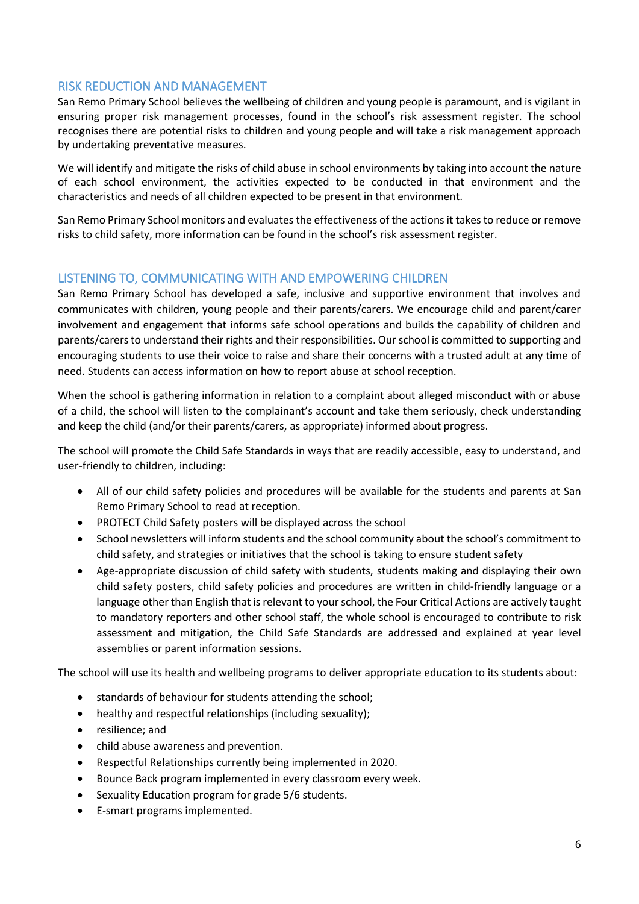#### RISK REDUCTION AND MANAGEMENT

San Remo Primary School believes the wellbeing of children and young people is paramount, and is vigilant in ensuring proper risk management processes, found in the school's risk assessment register. The school recognises there are potential risks to children and young people and will take a risk management approach by undertaking preventative measures.

We will identify and mitigate the risks of child abuse in school environments by taking into account the nature of each school environment, the activities expected to be conducted in that environment and the characteristics and needs of all children expected to be present in that environment.

San Remo Primary School monitors and evaluates the effectiveness of the actions it takes to reduce or remove risks to child safety, more information can be found in the school's risk assessment register.

# LISTENING TO, COMMUNICATING WITH AND EMPOWERING CHILDREN

San Remo Primary School has developed a safe, inclusive and supportive environment that involves and communicates with children, young people and their parents/carers. We encourage child and parent/carer involvement and engagement that informs safe school operations and builds the capability of children and parents/carers to understand their rights and their responsibilities. Our school is committed to supporting and encouraging students to use their voice to raise and share their concerns with a trusted adult at any time of need. Students can access information on how to report abuse at school reception.

When the school is gathering information in relation to a complaint about alleged misconduct with or abuse of a child, the school will listen to the complainant's account and take them seriously, check understanding and keep the child (and/or their parents/carers, as appropriate) informed about progress.

The school will promote the Child Safe Standards in ways that are readily accessible, easy to understand, and user-friendly to children, including:

- All of our child safety policies and procedures will be available for the students and parents at San Remo Primary School to read at reception.
- PROTECT Child Safety posters will be displayed across the school
- School newsletters will inform students and the school community about the school's commitment to child safety, and strategies or initiatives that the school is taking to ensure student safety
- Age-appropriate discussion of child safety with students, students making and displaying their own child safety posters, child safety policies and procedures are written in child-friendly language or a language other than English that is relevant to your school, the Four Critical Actions are actively taught to mandatory reporters and other school staff, the whole school is encouraged to contribute to risk assessment and mitigation, the Child Safe Standards are addressed and explained at year level assemblies or parent information sessions.

The school will use its health and wellbeing programs to deliver appropriate education to its students about:

- standards of behaviour for students attending the school;
- healthy and respectful relationships (including sexuality);
- resilience; and
- child abuse awareness and prevention.
- Respectful Relationships currently being implemented in 2020.
- Bounce Back program implemented in every classroom every week.
- Sexuality Education program for grade 5/6 students.
- E-smart programs implemented.